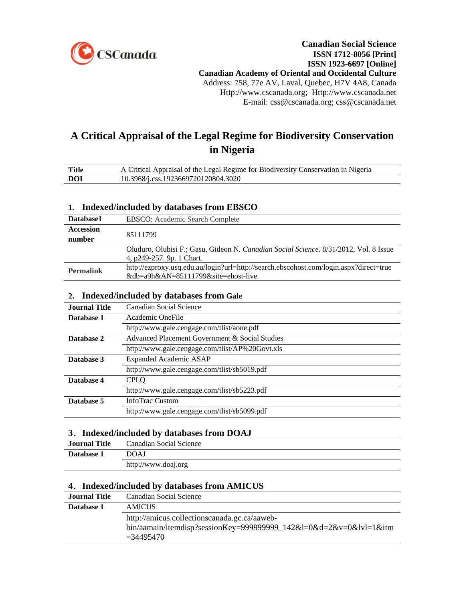

# **A Critical Appraisal of the Legal Regime for Biodiversity [Conservation](http://web.ebscohost.com.ezproxy.usq.edu.au/ehost/viewarticle?data=dGJyMPPp44rp2%2fdV0%2bnjisfk5Ie46%2b%2bN49vsRuvX54as2%2baH8eq%2bTK2nrkewpq9Lnqq4SK6wr1Cet8s%2b8ujfhvHX4Yzn5eyB4rOrT6%2btsUuxrrdOpOLfhuWz44ak2uBV36%2fmPvLX5VW%2fxKR57LO2Ta%2bnr0%2b3r6R%2b7ejrefKz5I3q4vJ99uoA&hid=19) in [Nigeria](http://web.ebscohost.com.ezproxy.usq.edu.au/ehost/viewarticle?data=dGJyMPPp44rp2%2fdV0%2bnjisfk5Ie46%2b%2bN49vsRuvX54as2%2baH8eq%2bTK2nrkewpq9Lnqq4SK6wr1Cet8s%2b8ujfhvHX4Yzn5eyB4rOrT6%2btsUuxrrdOpOLfhuWz44ak2uBV36%2fmPvLX5VW%2fxKR57LO2Ta%2bnr0%2b3r6R%2b7ejrefKz5I3q4vJ99uoA&hid=19)**

| <b>Title</b> | A Critical Appraisal of the Legal Regime for Biodiversity Conservation in Nigeria |
|--------------|-----------------------------------------------------------------------------------|
| DOI          | 10.3968/j.css.1923669720120804.3020                                               |

### **1. Indexed/included by databases from EBSCO**

| Database1        | <b>EBSCO:</b> Academic Search Complete                                                        |
|------------------|-----------------------------------------------------------------------------------------------|
| <b>Accession</b> | 85111799                                                                                      |
| number           |                                                                                               |
|                  | Oluduro, Olubisi F.; Gasu, Gideon N. <i>Canadian Social Science</i> . 8/31/2012, Vol. 8 Issue |
|                  | 4, p249-257. 9p. 1 Chart.                                                                     |
| <b>Permalink</b> | http://ezproxy.usq.edu.au/login?url=http://search.ebscohost.com/login.aspx?direct=true        |
|                  | &db=a9h&AN=85111799&site=ehost-live                                                           |

#### **2. Indexed/included by databases from Gale**

| Journal Title | Canadian Social Science                         |
|---------------|-------------------------------------------------|
| Database 1    | Academic OneFile                                |
|               | http://www.gale.cengage.com/tlist/aone.pdf      |
| Database 2    | Advanced Placement Government & Social Studies  |
|               | http://www.gale.cengage.com/tlist/AP%20Govt.xls |
| Database 3    | <b>Expanded Academic ASAP</b>                   |
|               | http://www.gale.cengage.com/tlist/sb5019.pdf    |
| Database 4    | CPI.O                                           |
|               | http://www.gale.cengage.com/tlist/sb5223.pdf    |
| Database 5    | <b>InfoTrac Custom</b>                          |
|               | http://www.gale.cengage.com/tlist/sb5099.pdf    |
|               |                                                 |

#### **3**.**Indexed/included by databases from DOAJ**

| <b>Journal Title</b> | Canadian Social Science |
|----------------------|-------------------------|
| Database 1           | <b>DOAJ</b>             |
|                      | http://www.doaj.org     |

## **4**.**Indexed/included by databases from AMICUS**

| <b>Journal Title</b> | Canadian Social Science                                                                                                            |
|----------------------|------------------------------------------------------------------------------------------------------------------------------------|
| Database 1           | <b>AMICUS</b>                                                                                                                      |
|                      | http://amicus.collectionscanada.gc.ca/aaweb-<br>bin/aamain/itemdisp?sessionKey=999999999_142&l=0&d=2&v=0&lvl=1&itm<br>$= 34495470$ |
|                      |                                                                                                                                    |